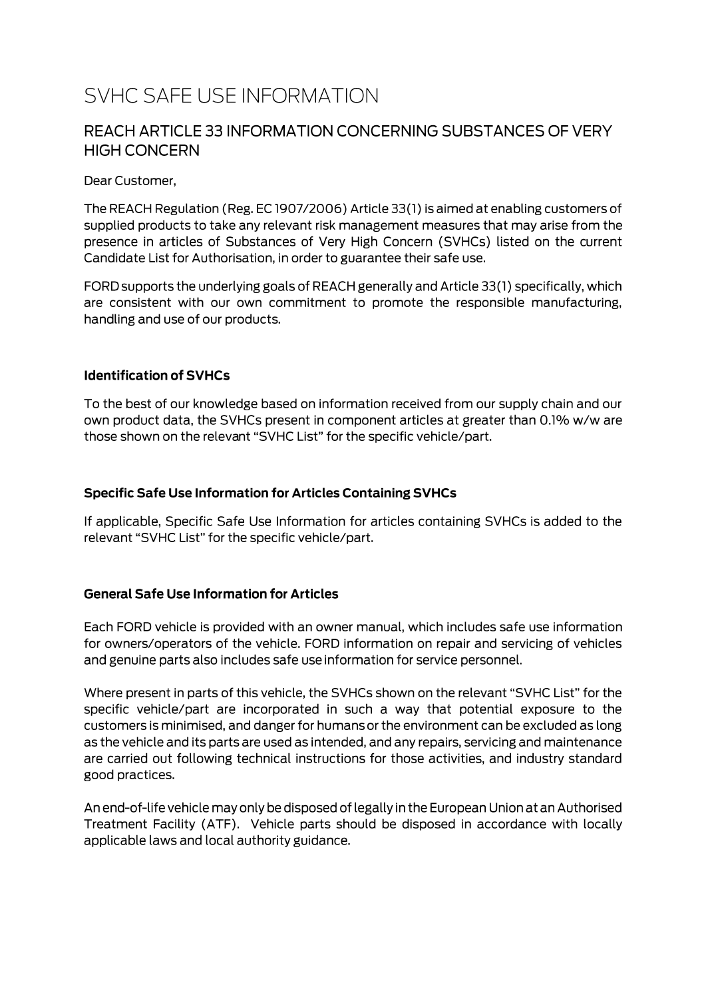# SVHC SAFE USE INFORMATION

### REACH ARTICLE 33 INFORMATION CONCERNING SUBSTANCES OF VERY **HIGH CONCERN**

Dear Customer.

The REACH Regulation (Reg. EC 1907/2006) Article 33(1) is aimed at enabling customers of supplied products to take any relevant risk management measures that may arise from the presence in articles of Substances of Very High Concern (SVHCs) listed on the current Candidate List for Authorisation, in order to guarantee their safe use.

FORD supports the underlying goals of REACH generally and Article 33(1) specifically, which are consistent with our own commitment to promote the responsible manufacturing, handling and use of our products.

#### **Identification of SVHCs**

To the best of our knowledge based on information received from our supply chain and our own product data, the SVHCs present in component articles at greater than 0.1% w/w are those shown on the relevant "SVHC List" for the specific vehicle/part.

#### **Specific Safe Use Information for Articles Containing SVHCs**

If applicable, Specific Safe Use Information for articles containing SVHCs is added to the relevant "SVHC List" for the specific vehicle/part.

#### **General Safe Use Information for Articles**

Each FORD vehicle is provided with an owner manual, which includes safe use information for owners/operators of the vehicle. FORD information on repair and servicing of vehicles and genuine parts also includes safe use information for service personnel.

Where present in parts of this vehicle, the SVHCs shown on the relevant "SVHC List" for the specific vehicle/part are incorporated in such a way that potential exposure to the customers is minimised, and danger for humans or the environment can be excluded as long as the vehicle and its parts are used as intended, and any repairs, servicing and maintenance are carried out following technical instructions for those activities, and industry standard good practices.

An end-of-life vehicle may only be disposed of legally in the European Union at an Authorised Treatment Facility (ATF). Vehicle parts should be disposed in accordance with locally applicable laws and local authority guidance.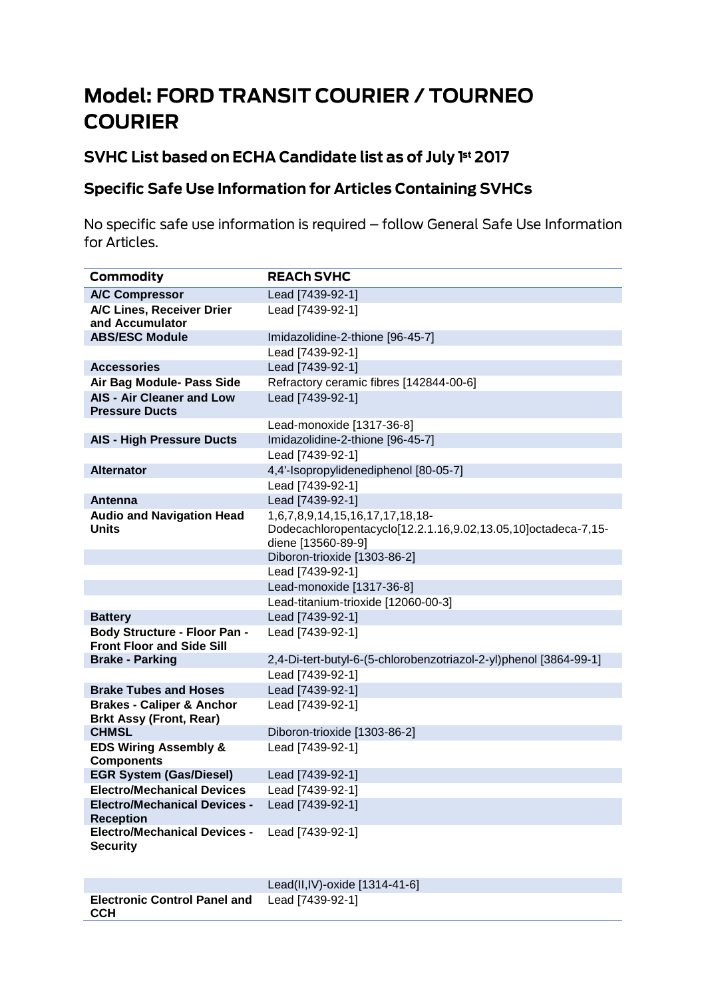# **Model: FORD TRANSIT COURIER / TOURNEO COURIER**

## SVHC List based on ECHA Candidate list as of July 1st 2017

### **Specific Safe Use Information for Articles Containing SVHCs**

No specific safe use information is required - follow General Safe Use Information for Articles.

| <b>Commodity</b>                                                       | <b>REACH SVHC</b>                                                                                                      |
|------------------------------------------------------------------------|------------------------------------------------------------------------------------------------------------------------|
| <b>A/C Compressor</b>                                                  | Lead [7439-92-1]                                                                                                       |
| A/C Lines, Receiver Drier<br>and Accumulator                           | Lead [7439-92-1]                                                                                                       |
| <b>ABS/ESC Module</b>                                                  | Imidazolidine-2-thione [96-45-7]                                                                                       |
|                                                                        | Lead [7439-92-1]                                                                                                       |
| <b>Accessories</b>                                                     | Lead [7439-92-1]                                                                                                       |
| Air Bag Module- Pass Side                                              | Refractory ceramic fibres [142844-00-6]                                                                                |
| <b>AIS - Air Cleaner and Low</b><br><b>Pressure Ducts</b>              | Lead [7439-92-1]                                                                                                       |
|                                                                        | Lead-monoxide [1317-36-8]                                                                                              |
| <b>AIS - High Pressure Ducts</b>                                       | Imidazolidine-2-thione [96-45-7]                                                                                       |
|                                                                        | Lead [7439-92-1]                                                                                                       |
| <b>Alternator</b>                                                      | 4,4'-Isopropylidenediphenol [80-05-7]                                                                                  |
|                                                                        | Lead [7439-92-1]                                                                                                       |
| <b>Antenna</b>                                                         | Lead [7439-92-1]                                                                                                       |
| <b>Audio and Navigation Head</b><br>Units                              | 1,6,7,8,9,14,15,16,17,17,18,18-<br>Dodecachloropentacyclo[12.2.1.16,9.02,13.05,10]octadeca-7,15-<br>diene [13560-89-9] |
|                                                                        | Diboron-trioxide [1303-86-2]                                                                                           |
|                                                                        | Lead [7439-92-1]                                                                                                       |
|                                                                        | Lead-monoxide [1317-36-8]                                                                                              |
|                                                                        | Lead-titanium-trioxide [12060-00-3]                                                                                    |
| <b>Battery</b>                                                         | Lead [7439-92-1]                                                                                                       |
| Body Structure - Floor Pan -<br><b>Front Floor and Side Sill</b>       | Lead [7439-92-1]                                                                                                       |
| <b>Brake - Parking</b>                                                 | 2,4-Di-tert-butyl-6-(5-chlorobenzotriazol-2-yl)phenol [3864-99-1]                                                      |
|                                                                        | Lead [7439-92-1]                                                                                                       |
| <b>Brake Tubes and Hoses</b>                                           | Lead [7439-92-1]                                                                                                       |
| <b>Brakes - Caliper &amp; Anchor</b><br><b>Brkt Assy (Front, Rear)</b> | Lead [7439-92-1]                                                                                                       |
| <b>CHMSL</b>                                                           | Diboron-trioxide [1303-86-2]                                                                                           |
| <b>EDS Wiring Assembly &amp;</b><br><b>Components</b>                  | Lead [7439-92-1]                                                                                                       |
| <b>EGR System (Gas/Diesel)</b>                                         | Lead [7439-92-1]                                                                                                       |
| <b>Electro/Mechanical Devices</b>                                      | Lead [7439-92-1]                                                                                                       |
| <b>Electro/Mechanical Devices -</b><br><b>Reception</b>                | Lead [7439-92-1]                                                                                                       |
| <b>Electro/Mechanical Devices -</b><br><b>Security</b>                 | Lead [7439-92-1]                                                                                                       |
|                                                                        |                                                                                                                        |

|                                                             | Lead(II,IV)-oxide $[1314-41-6]$ |
|-------------------------------------------------------------|---------------------------------|
| <b>Electronic Control Panel and</b> Lead [7439-92-1]<br>CCH |                                 |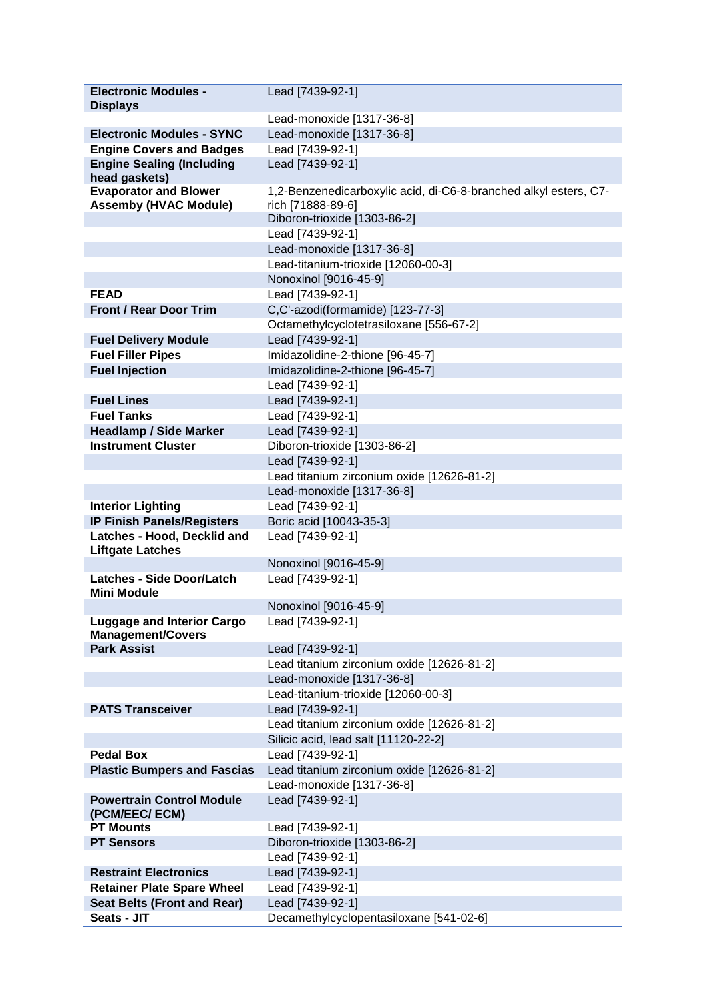| <b>Electronic Modules -</b>                                   | Lead [7439-92-1]                                                                      |
|---------------------------------------------------------------|---------------------------------------------------------------------------------------|
| <b>Displays</b>                                               |                                                                                       |
|                                                               | Lead-monoxide [1317-36-8]                                                             |
| <b>Electronic Modules - SYNC</b>                              | Lead-monoxide [1317-36-8]                                                             |
| <b>Engine Covers and Badges</b>                               | Lead [7439-92-1]                                                                      |
| <b>Engine Sealing (Including</b><br>head gaskets)             | Lead [7439-92-1]                                                                      |
| <b>Evaporator and Blower</b><br><b>Assemby (HVAC Module)</b>  | 1,2-Benzenedicarboxylic acid, di-C6-8-branched alkyl esters, C7-<br>rich [71888-89-6] |
|                                                               | Diboron-trioxide [1303-86-2]                                                          |
|                                                               | Lead [7439-92-1]                                                                      |
|                                                               | Lead-monoxide [1317-36-8]                                                             |
|                                                               | Lead-titanium-trioxide [12060-00-3]                                                   |
|                                                               | Nonoxinol [9016-45-9]                                                                 |
| <b>FEAD</b>                                                   | Lead [7439-92-1]                                                                      |
| <b>Front / Rear Door Trim</b>                                 | C,C'-azodi(formamide) [123-77-3]                                                      |
|                                                               | Octamethylcyclotetrasiloxane [556-67-2]                                               |
| <b>Fuel Delivery Module</b>                                   | Lead [7439-92-1]                                                                      |
| <b>Fuel Filler Pipes</b>                                      | Imidazolidine-2-thione [96-45-7]                                                      |
| <b>Fuel Injection</b>                                         | Imidazolidine-2-thione [96-45-7]                                                      |
|                                                               | Lead [7439-92-1]                                                                      |
| <b>Fuel Lines</b>                                             | Lead [7439-92-1]                                                                      |
| <b>Fuel Tanks</b>                                             | Lead [7439-92-1]                                                                      |
| <b>Headlamp / Side Marker</b>                                 | Lead [7439-92-1]                                                                      |
| <b>Instrument Cluster</b>                                     | Diboron-trioxide [1303-86-2]                                                          |
|                                                               | Lead [7439-92-1]                                                                      |
|                                                               | Lead titanium zirconium oxide [12626-81-2]                                            |
|                                                               | Lead-monoxide [1317-36-8]                                                             |
| <b>Interior Lighting</b>                                      | Lead [7439-92-1]                                                                      |
| <b>IP Finish Panels/Registers</b>                             | Boric acid [10043-35-3]                                                               |
| Latches - Hood, Decklid and<br><b>Liftgate Latches</b>        | Lead [7439-92-1]                                                                      |
| <b>Latches - Side Door/Latch</b>                              | Nonoxinol [9016-45-9]                                                                 |
| <b>Mini Module</b>                                            | Lead [7439-92-1]                                                                      |
|                                                               | Nonoxinol [9016-45-9]                                                                 |
| <b>Luggage and Interior Cargo</b><br><b>Management/Covers</b> | Lead [7439-92-1]                                                                      |
| <b>Park Assist</b>                                            | Lead [7439-92-1]                                                                      |
|                                                               | Lead titanium zirconium oxide [12626-81-2]<br>Lead-monoxide [1317-36-8]               |
|                                                               |                                                                                       |
| <b>PATS Transceiver</b>                                       | Lead-titanium-trioxide [12060-00-3]<br>Lead [7439-92-1]                               |
|                                                               | Lead titanium zirconium oxide [12626-81-2]                                            |
|                                                               | Silicic acid, lead salt [11120-22-2]                                                  |
| <b>Pedal Box</b>                                              | Lead [7439-92-1]                                                                      |
| <b>Plastic Bumpers and Fascias</b>                            | Lead titanium zirconium oxide [12626-81-2]                                            |
|                                                               | Lead-monoxide [1317-36-8]                                                             |
| <b>Powertrain Control Module</b><br>(PCM/EEC/ ECM)            | Lead [7439-92-1]                                                                      |
| <b>PT Mounts</b>                                              | Lead [7439-92-1]                                                                      |
| <b>PT Sensors</b>                                             | Diboron-trioxide [1303-86-2]                                                          |
|                                                               | Lead [7439-92-1]                                                                      |
| <b>Restraint Electronics</b>                                  | Lead [7439-92-1]                                                                      |
| <b>Retainer Plate Spare Wheel</b>                             | Lead [7439-92-1]                                                                      |
| <b>Seat Belts (Front and Rear)</b>                            | Lead [7439-92-1]                                                                      |
| Seats - JIT                                                   | Decamethylcyclopentasiloxane [541-02-6]                                               |